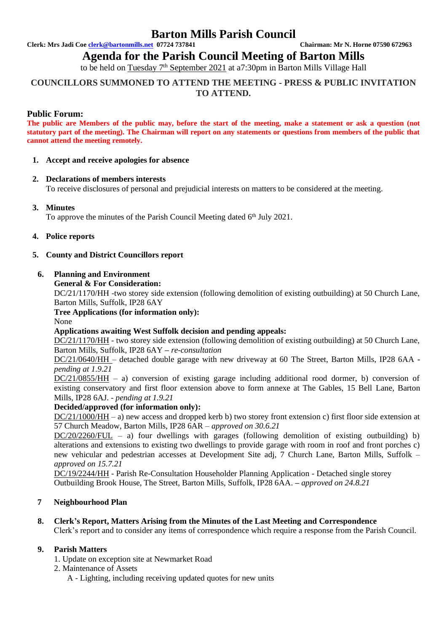## **Barton Mills Parish Council**

**Clerk: Mrs Jadi Coe [clerk@bartonmills.net](mailto:clerk@bartonmills.net) 07724 737841 Chairman: Mr N. Horne 07590 672963**

**Agenda for the Parish Council Meeting of Barton Mills** 

to be held on Tuesday 7<sup>th</sup> September 2021 at a7:30pm in Barton Mills Village Hall

## **COUNCILLORS SUMMONED TO ATTEND THE MEETING - PRESS & PUBLIC INVITATION TO ATTEND.**

## **Public Forum:**

**The public are Members of the public may, before the start of the meeting, make a statement or ask a question (not statutory part of the meeting). The Chairman will report on any statements or questions from members of the public that cannot attend the meeting remotely.**

#### **1. Accept and receive apologies for absence**

## **2. Declarations of members interests**

To receive disclosures of personal and prejudicial interests on matters to be considered at the meeting.

## **3. Minutes**

To approve the minutes of the Parish Council Meeting dated 6<sup>th</sup> July 2021.

#### **4. Police reports**

#### **5. County and District Councillors report**

#### **6. Planning and Environment**

**General & For Consideration:**

DC/21/1170/HH -two storey side extension (following demolition of existing outbuilding) at 50 Church Lane, Barton Mills, Suffolk, IP28 6AY

## **Tree Applications (for information only):**

None

## **Applications awaiting West Suffolk decision and pending appeals:**

DC/21/1170/HH - two storey side extension (following demolition of existing outbuilding) at 50 Church Lane, Barton Mills, Suffolk, IP28 6AY **–** *re-consultation*

DC/21/0640/HH – detached double garage with new driveway at 60 The Street, Barton Mills, IP28 6AA  *pending at 1.9.21*

 $DC/21/0855/HH - a$ ) conversion of existing garage including additional rood dormer, b) conversion of existing conservatory and first floor extension above to form annexe at The Gables, 15 Bell Lane, Barton Mills, IP28 6AJ. *- pending at 1.9.21*

## **Decided/approved (for information only):**

DC/21/1000/HH – a) new access and dropped kerb b) two storey front extension c) first floor side extension at 57 Church Meadow, Barton Mills, IP28 6AR *– approved on 30.6.21*

 $DC/20/2260/FUL - a)$  four dwellings with garages (following demolition of existing outbuilding) b) alterations and extensions to existing two dwellings to provide garage with room in roof and front porches c) new vehicular and pedestrian accesses at Development Site adj, 7 Church Lane, Barton Mills, Suffolk *– approved on 15.7.21*

DC/19/2244/HH - Parish Re-Consultation Householder Planning Application - Detached single storey Outbuilding Brook House, The Street, Barton Mills, Suffolk, IP28 6AA. **–** *approved on 24.8.21*

## **7 Neighbourhood Plan**

# **8. Clerk's Report, Matters Arising from the Minutes of the Last Meeting and Correspondence**

Clerk's report and to consider any items of correspondence which require a response from the Parish Council.

## **9. Parish Matters**

- 1. Update on exception site at Newmarket Road
- 2. Maintenance of Assets
	- A Lighting, including receiving updated quotes for new units